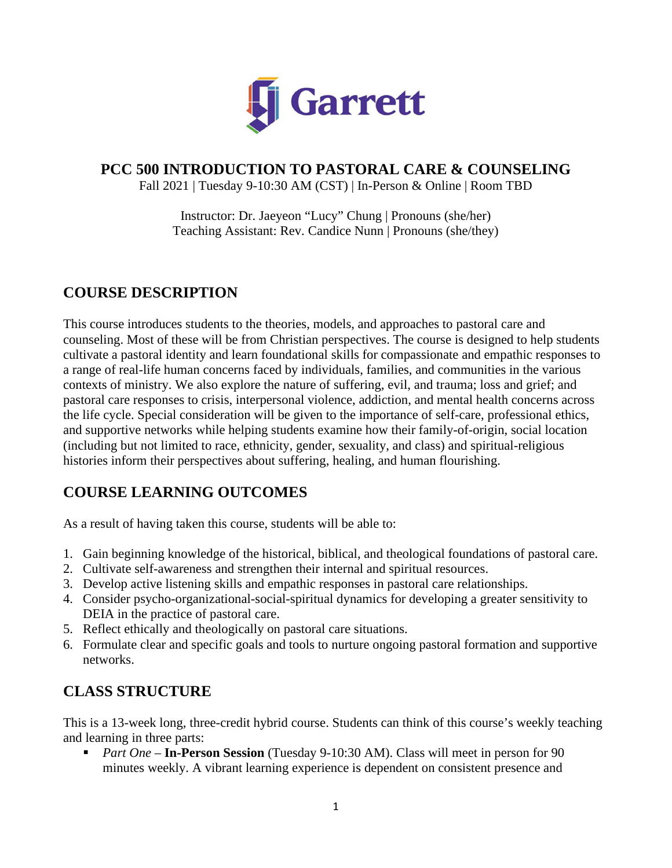

# **PCC 500 INTRODUCTION TO PASTORAL CARE & COUNSELING**

Fall 2021 | Tuesday 9-10:30 AM (CST) | In-Person & Online | Room TBD

Instructor: Dr. Jaeyeon "Lucy" Chung | Pronouns (she/her) Teaching Assistant: Rev. Candice Nunn | Pronouns (she/they)

# **COURSE DESCRIPTION**

This course introduces students to the theories, models, and approaches to pastoral care and counseling. Most of these will be from Christian perspectives. The course is designed to help students cultivate a pastoral identity and learn foundational skills for compassionate and empathic responses to a range of real-life human concerns faced by individuals, families, and communities in the various contexts of ministry. We also explore the nature of suffering, evil, and trauma; loss and grief; and pastoral care responses to crisis, interpersonal violence, addiction, and mental health concerns across the life cycle. Special consideration will be given to the importance of self-care, professional ethics, and supportive networks while helping students examine how their family-of-origin, social location (including but not limited to race, ethnicity, gender, sexuality, and class) and spiritual-religious histories inform their perspectives about suffering, healing, and human flourishing.

# **COURSE LEARNING OUTCOMES**

As a result of having taken this course, students will be able to:

- 1. Gain beginning knowledge of the historical, biblical, and theological foundations of pastoral care.
- 2. Cultivate self-awareness and strengthen their internal and spiritual resources.
- 3. Develop active listening skills and empathic responses in pastoral care relationships.
- 4. Consider psycho-organizational-social-spiritual dynamics for developing a greater sensitivity to DEIA in the practice of pastoral care.
- 5. Reflect ethically and theologically on pastoral care situations.
- 6. Formulate clear and specific goals and tools to nurture ongoing pastoral formation and supportive networks.

# **CLASS STRUCTURE**

This is a 13-week long, three-credit hybrid course. Students can think of this course's weekly teaching and learning in three parts:

 *Part One* – **In-Person Session** (Tuesday 9-10:30 AM). Class will meet in person for 90 minutes weekly. A vibrant learning experience is dependent on consistent presence and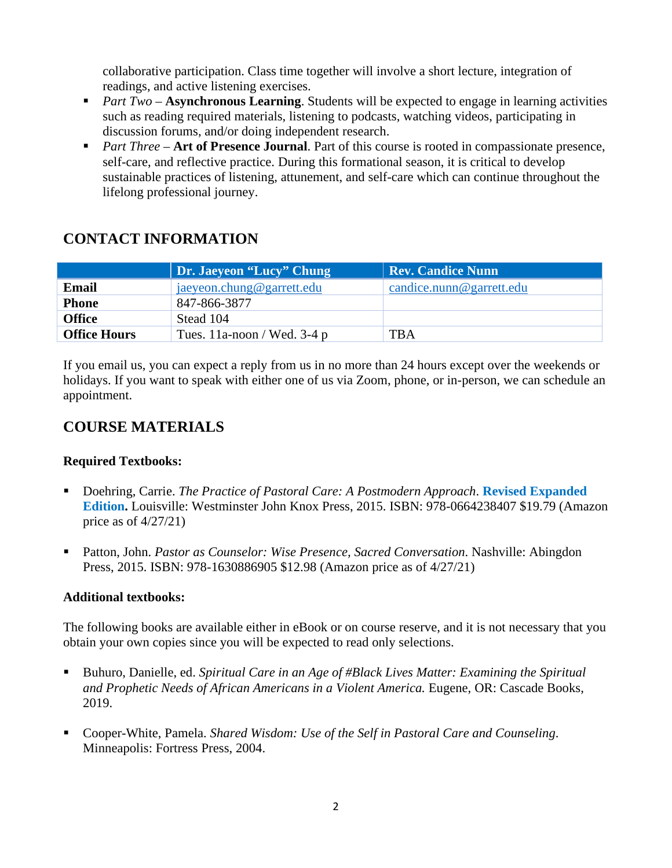collaborative participation. Class time together will involve a short lecture, integration of readings, and active listening exercises.

- *Part Two* **Asynchronous Learning**. Students will be expected to engage in learning activities such as reading required materials, listening to podcasts, watching videos, participating in discussion forums, and/or doing independent research.
- **Part Three Art of Presence Journal.** Part of this course is rooted in compassionate presence, self-care, and reflective practice. During this formational season, it is critical to develop sustainable practices of listening, attunement, and self-care which can continue throughout the lifelong professional journey.

# **CONTACT INFORMATION**

|                     | Dr. Jaeyeon "Lucy" Chung      | <b>Rev. Candice Nunn</b>         |  |  |
|---------------------|-------------------------------|----------------------------------|--|--|
| <b>Email</b>        | jaeyeon.chung@garrett.edu     | $c$ and ice. nunn @ garrett. edu |  |  |
| <b>Phone</b>        | 847-866-3877                  |                                  |  |  |
| <b>Office</b>       | Stead 104                     |                                  |  |  |
| <b>Office Hours</b> | Tues. 11a-noon / Wed. 3-4 $p$ | <b>TBA</b>                       |  |  |

If you email us, you can expect a reply from us in no more than 24 hours except over the weekends or holidays. If you want to speak with either one of us via Zoom, phone, or in-person, we can schedule an appointment.

# **COURSE MATERIALS**

#### **Required Textbooks:**

- Doehring, Carrie. *The Practice of Pastoral Care: A Postmodern Approach*. **Revised Expanded Edition.** Louisville: Westminster John Knox Press, 2015. ISBN: 978-0664238407 \$19.79 (Amazon price as of 4/27/21)
- Patton, John. *Pastor as Counselor: Wise Presence, Sacred Conversation*. Nashville: Abingdon Press, 2015. ISBN: 978-1630886905 \$12.98 (Amazon price as of 4/27/21)

### **Additional textbooks:**

The following books are available either in eBook or on course reserve, and it is not necessary that you obtain your own copies since you will be expected to read only selections.

- Buhuro, Danielle, ed. *Spiritual Care in an Age of #Black Lives Matter: Examining the Spiritual and Prophetic Needs of African Americans in a Violent America.* Eugene, OR: Cascade Books, 2019.
- Cooper-White, Pamela. *Shared Wisdom: Use of the Self in Pastoral Care and Counseling*. Minneapolis: Fortress Press, 2004.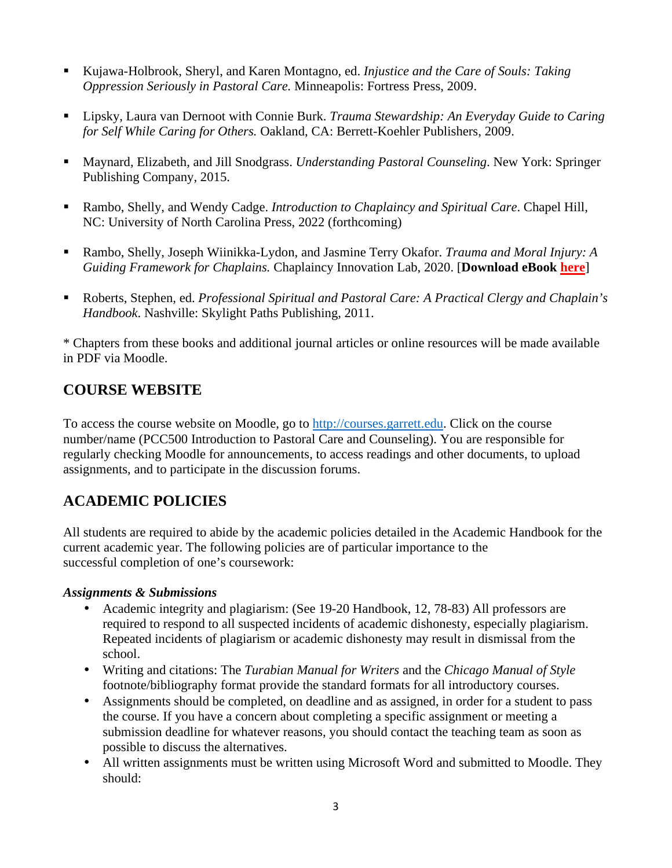- Kujawa-Holbrook, Sheryl, and Karen Montagno, ed. *Injustice and the Care of Souls: Taking Oppression Seriously in Pastoral Care.* Minneapolis: Fortress Press, 2009.
- Lipsky, Laura van Dernoot with Connie Burk. *Trauma Stewardship: An Everyday Guide to Caring for Self While Caring for Others.* Oakland, CA: Berrett-Koehler Publishers, 2009.
- Maynard, Elizabeth, and Jill Snodgrass. *Understanding Pastoral Counseling*. New York: Springer Publishing Company, 2015.
- Rambo, Shelly, and Wendy Cadge. *Introduction to Chaplaincy and Spiritual Care*. Chapel Hill, NC: University of North Carolina Press, 2022 (forthcoming)
- Rambo, Shelly, Joseph Wiinikka-Lydon, and Jasmine Terry Okafor. *Trauma and Moral Injury: A Guiding Framework for Chaplains.* Chaplaincy Innovation Lab, 2020. [**Download eBook here**]
- Roberts, Stephen, ed. *Professional Spiritual and Pastoral Care: A Practical Clergy and Chaplain's Handbook*. Nashville: Skylight Paths Publishing, 2011.

\* Chapters from these books and additional journal articles or online resources will be made available in PDF via Moodle.

# **COURSE WEBSITE**

To access the course website on Moodle, go to http://courses.garrett.edu. Click on the course number/name (PCC500 Introduction to Pastoral Care and Counseling). You are responsible for regularly checking Moodle for announcements, to access readings and other documents, to upload assignments, and to participate in the discussion forums.

# **ACADEMIC POLICIES**

All students are required to abide by the academic policies detailed in the Academic Handbook for the current academic year. The following policies are of particular importance to the successful completion of one's coursework:

#### *Assignments & Submissions*

- Academic integrity and plagiarism: (See 19-20 Handbook, 12, 78-83) All professors are required to respond to all suspected incidents of academic dishonesty, especially plagiarism. Repeated incidents of plagiarism or academic dishonesty may result in dismissal from the school.
- Writing and citations: The *Turabian Manual for Writers* and the *Chicago Manual of Style* footnote/bibliography format provide the standard formats for all introductory courses.
- Assignments should be completed, on deadline and as assigned, in order for a student to pass the course. If you have a concern about completing a specific assignment or meeting a submission deadline for whatever reasons, you should contact the teaching team as soon as possible to discuss the alternatives.
- All written assignments must be written using Microsoft Word and submitted to Moodle. They should: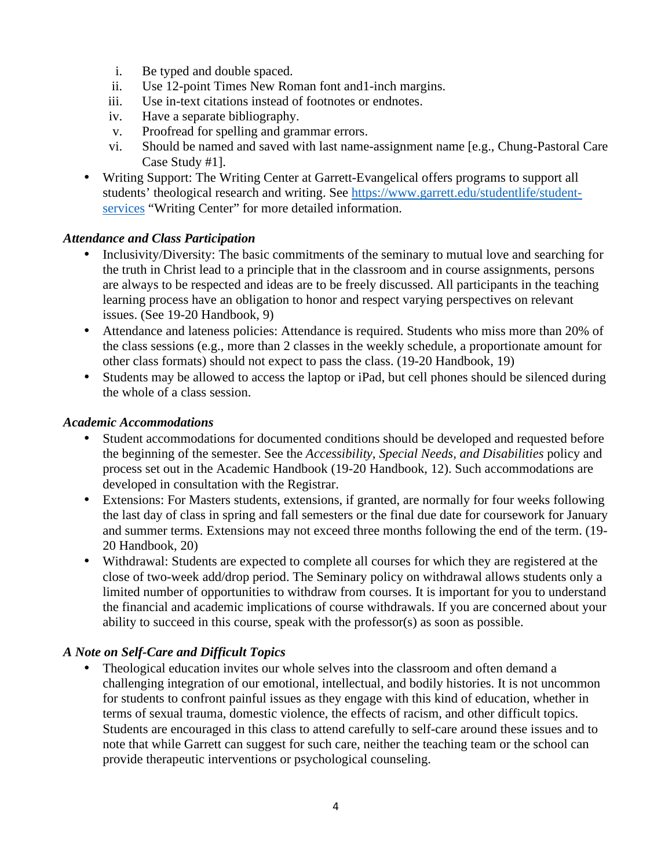- i. Be typed and double spaced.
- ii. Use 12-point Times New Roman font and1-inch margins.
- iii. Use in-text citations instead of footnotes or endnotes.
- iv. Have a separate bibliography.
- v. Proofread for spelling and grammar errors.
- vi. Should be named and saved with last name-assignment name [e.g., Chung-Pastoral Care Case Study #1].
- Writing Support: The Writing Center at Garrett-Evangelical offers programs to support all students' theological research and writing. See https://www.garrett.edu/studentlife/studentservices "Writing Center" for more detailed information.

#### *Attendance and Class Participation*

- Inclusivity/Diversity: The basic commitments of the seminary to mutual love and searching for the truth in Christ lead to a principle that in the classroom and in course assignments, persons are always to be respected and ideas are to be freely discussed. All participants in the teaching learning process have an obligation to honor and respect varying perspectives on relevant issues. (See 19-20 Handbook, 9)
- Attendance and lateness policies: Attendance is required. Students who miss more than 20% of the class sessions (e.g., more than 2 classes in the weekly schedule, a proportionate amount for other class formats) should not expect to pass the class. (19-20 Handbook, 19)
- Students may be allowed to access the laptop or iPad, but cell phones should be silenced during the whole of a class session.

#### *Academic Accommodations*

- Student accommodations for documented conditions should be developed and requested before the beginning of the semester. See the *Accessibility, Special Needs, and Disabilities* policy and process set out in the Academic Handbook (19-20 Handbook, 12). Such accommodations are developed in consultation with the Registrar.
- Extensions: For Masters students, extensions, if granted, are normally for four weeks following the last day of class in spring and fall semesters or the final due date for coursework for January and summer terms. Extensions may not exceed three months following the end of the term. (19- 20 Handbook, 20)
- Withdrawal: Students are expected to complete all courses for which they are registered at the close of two-week add/drop period. The Seminary policy on withdrawal allows students only a limited number of opportunities to withdraw from courses. It is important for you to understand the financial and academic implications of course withdrawals. If you are concerned about your ability to succeed in this course, speak with the professor(s) as soon as possible.

#### *A Note on Self-Care and Difficult Topics*

• Theological education invites our whole selves into the classroom and often demand a challenging integration of our emotional, intellectual, and bodily histories. It is not uncommon for students to confront painful issues as they engage with this kind of education, whether in terms of sexual trauma, domestic violence, the effects of racism, and other difficult topics. Students are encouraged in this class to attend carefully to self-care around these issues and to note that while Garrett can suggest for such care, neither the teaching team or the school can provide therapeutic interventions or psychological counseling.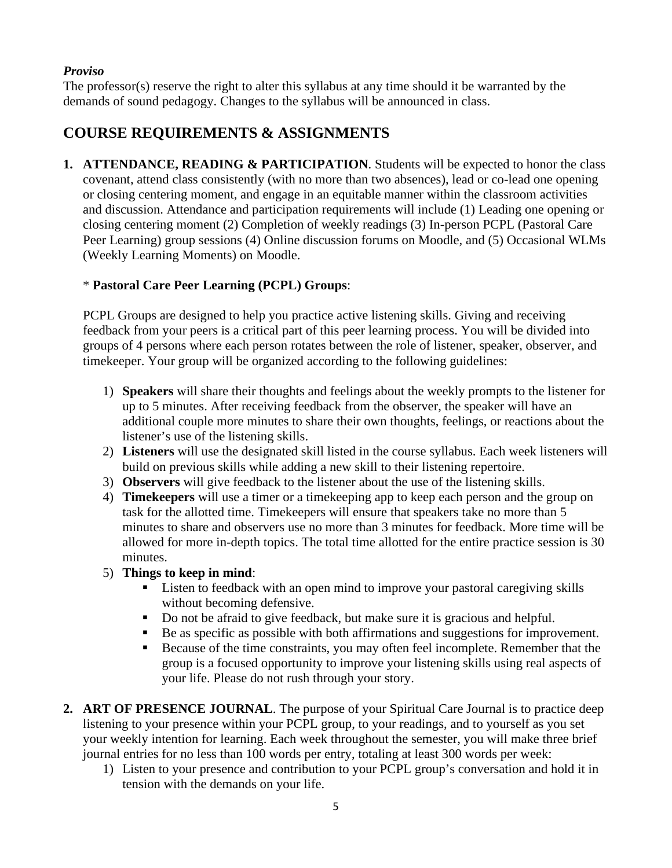### *Proviso*

The professor(s) reserve the right to alter this syllabus at any time should it be warranted by the demands of sound pedagogy. Changes to the syllabus will be announced in class.

# **COURSE REQUIREMENTS & ASSIGNMENTS**

**1. ATTENDANCE, READING & PARTICIPATION**. Students will be expected to honor the class covenant, attend class consistently (with no more than two absences), lead or co-lead one opening or closing centering moment, and engage in an equitable manner within the classroom activities and discussion. Attendance and participation requirements will include (1) Leading one opening or closing centering moment (2) Completion of weekly readings (3) In-person PCPL (Pastoral Care Peer Learning) group sessions (4) Online discussion forums on Moodle, and (5) Occasional WLMs (Weekly Learning Moments) on Moodle.

### \* **Pastoral Care Peer Learning (PCPL) Groups**:

PCPL Groups are designed to help you practice active listening skills. Giving and receiving feedback from your peers is a critical part of this peer learning process. You will be divided into groups of 4 persons where each person rotates between the role of listener, speaker, observer, and timekeeper. Your group will be organized according to the following guidelines:

- 1) **Speakers** will share their thoughts and feelings about the weekly prompts to the listener for up to 5 minutes. After receiving feedback from the observer, the speaker will have an additional couple more minutes to share their own thoughts, feelings, or reactions about the listener's use of the listening skills.
- 2) **Listeners** will use the designated skill listed in the course syllabus. Each week listeners will build on previous skills while adding a new skill to their listening repertoire.
- 3) **Observers** will give feedback to the listener about the use of the listening skills.
- 4) **Timekeepers** will use a timer or a timekeeping app to keep each person and the group on task for the allotted time. Timekeepers will ensure that speakers take no more than 5 minutes to share and observers use no more than 3 minutes for feedback. More time will be allowed for more in-depth topics. The total time allotted for the entire practice session is 30 minutes.

### 5) **Things to keep in mind**:

- **EXECUTE:** Listen to feedback with an open mind to improve your pastoral caregiving skills without becoming defensive.
- Do not be afraid to give feedback, but make sure it is gracious and helpful.
- Be as specific as possible with both affirmations and suggestions for improvement.
- Because of the time constraints, you may often feel incomplete. Remember that the group is a focused opportunity to improve your listening skills using real aspects of your life. Please do not rush through your story.
- **2. ART OF PRESENCE JOURNAL**. The purpose of your Spiritual Care Journal is to practice deep listening to your presence within your PCPL group, to your readings, and to yourself as you set your weekly intention for learning. Each week throughout the semester, you will make three brief journal entries for no less than 100 words per entry, totaling at least 300 words per week:
	- 1) Listen to your presence and contribution to your PCPL group's conversation and hold it in tension with the demands on your life.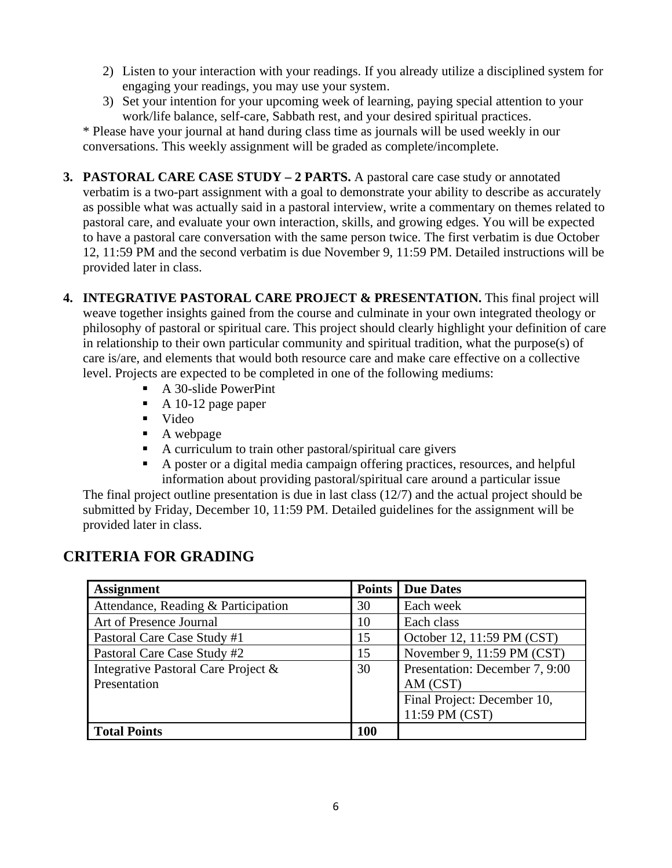- 2) Listen to your interaction with your readings. If you already utilize a disciplined system for engaging your readings, you may use your system.
- 3) Set your intention for your upcoming week of learning, paying special attention to your work/life balance, self-care, Sabbath rest, and your desired spiritual practices.

\* Please have your journal at hand during class time as journals will be used weekly in our conversations. This weekly assignment will be graded as complete/incomplete.

- **3. PASTORAL CARE CASE STUDY 2 PARTS.** A pastoral care case study or annotated verbatim is a two-part assignment with a goal to demonstrate your ability to describe as accurately as possible what was actually said in a pastoral interview, write a commentary on themes related to pastoral care, and evaluate your own interaction, skills, and growing edges. You will be expected to have a pastoral care conversation with the same person twice. The first verbatim is due October 12, 11:59 PM and the second verbatim is due November 9, 11:59 PM. Detailed instructions will be provided later in class.
- **4. INTEGRATIVE PASTORAL CARE PROJECT & PRESENTATION.** This final project will weave together insights gained from the course and culminate in your own integrated theology or philosophy of pastoral or spiritual care. This project should clearly highlight your definition of care in relationship to their own particular community and spiritual tradition, what the purpose(s) of care is/are, and elements that would both resource care and make care effective on a collective level. Projects are expected to be completed in one of the following mediums:
	- A 30-slide PowerPint
	- $\blacksquare$  A 10-12 page paper
	- Video
	- A webpage
	- A curriculum to train other pastoral/spiritual care givers
	- A poster or a digital media campaign offering practices, resources, and helpful information about providing pastoral/spiritual care around a particular issue

The final project outline presentation is due in last class (12/7) and the actual project should be submitted by Friday, December 10, 11:59 PM. Detailed guidelines for the assignment will be provided later in class.

| <b>Assignment</b>                   |     | Due Dates                      |  |
|-------------------------------------|-----|--------------------------------|--|
| Attendance, Reading & Participation |     | Each week                      |  |
| Art of Presence Journal             |     | Each class                     |  |
| Pastoral Care Case Study #1         |     | October 12, 11:59 PM (CST)     |  |
| Pastoral Care Case Study #2         | 15  | November 9, 11:59 PM (CST)     |  |
| Integrative Pastoral Care Project & | 30  | Presentation: December 7, 9:00 |  |
| Presentation                        |     | AM (CST)                       |  |
|                                     |     | Final Project: December 10,    |  |
|                                     |     | 11:59 PM (CST)                 |  |
| <b>Total Points</b>                 | 100 |                                |  |

# **CRITERIA FOR GRADING**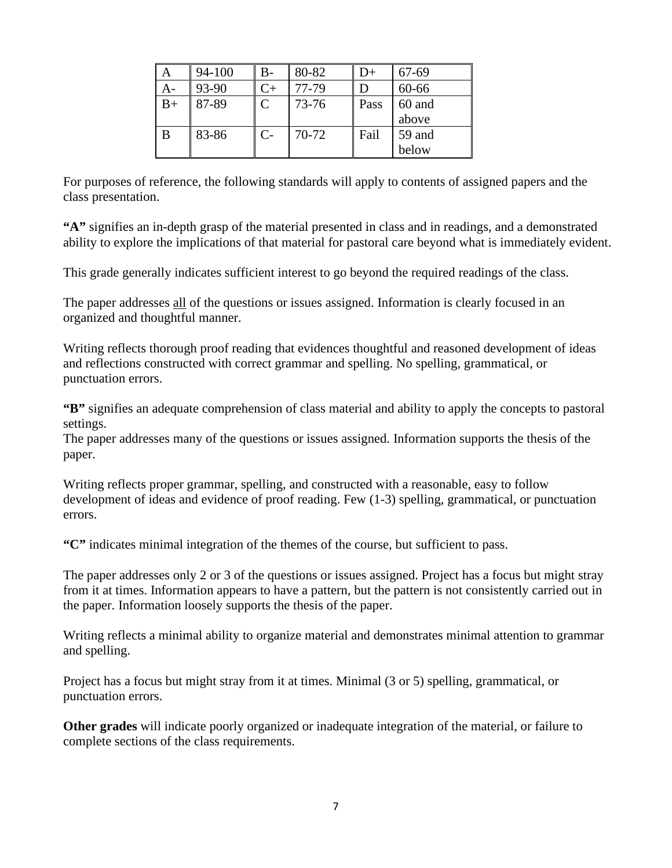|      | 94-100 | $B-$      | 80-82     | D+   | 67-69  |
|------|--------|-----------|-----------|------|--------|
| А-   | 93-90  | C+        | 77-79     |      | 60-66  |
| $B+$ | 87-89  | $\subset$ | $73 - 76$ | Pass | 60 and |
|      |        |           |           |      | above  |
| B    | 83-86  | $C-$      | 70-72     | Fail | 59 and |
|      |        |           |           |      | below  |

For purposes of reference, the following standards will apply to contents of assigned papers and the class presentation.

**"A"** signifies an in-depth grasp of the material presented in class and in readings, and a demonstrated ability to explore the implications of that material for pastoral care beyond what is immediately evident.

This grade generally indicates sufficient interest to go beyond the required readings of the class.

The paper addresses all of the questions or issues assigned. Information is clearly focused in an organized and thoughtful manner.

Writing reflects thorough proof reading that evidences thoughtful and reasoned development of ideas and reflections constructed with correct grammar and spelling. No spelling, grammatical, or punctuation errors.

**"B"** signifies an adequate comprehension of class material and ability to apply the concepts to pastoral settings.

The paper addresses many of the questions or issues assigned. Information supports the thesis of the paper.

Writing reflects proper grammar, spelling, and constructed with a reasonable, easy to follow development of ideas and evidence of proof reading. Few (1-3) spelling, grammatical, or punctuation errors.

**"C"** indicates minimal integration of the themes of the course, but sufficient to pass.

The paper addresses only 2 or 3 of the questions or issues assigned. Project has a focus but might stray from it at times. Information appears to have a pattern, but the pattern is not consistently carried out in the paper. Information loosely supports the thesis of the paper.

Writing reflects a minimal ability to organize material and demonstrates minimal attention to grammar and spelling.

Project has a focus but might stray from it at times. Minimal (3 or 5) spelling, grammatical, or punctuation errors.

**Other grades** will indicate poorly organized or inadequate integration of the material, or failure to complete sections of the class requirements.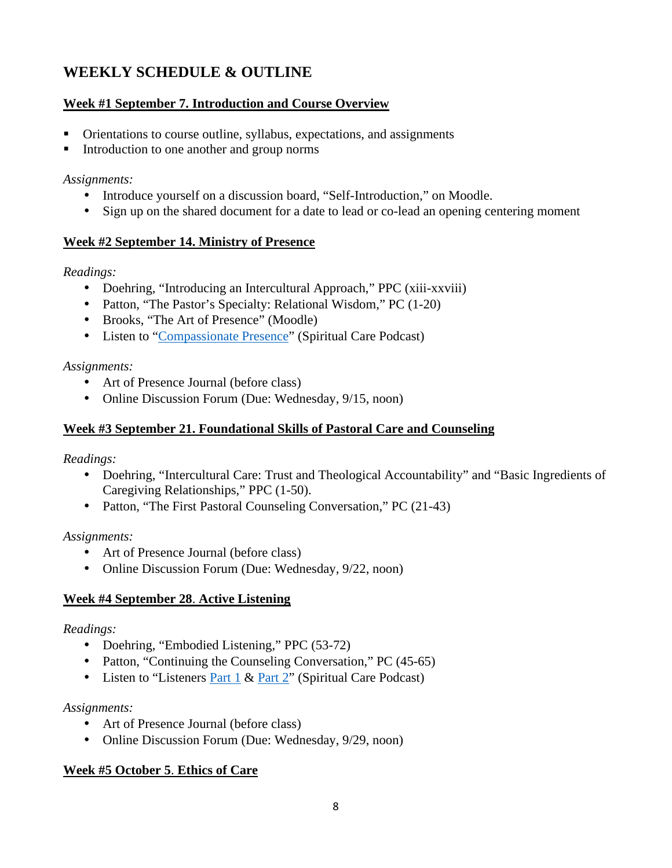# **WEEKLY SCHEDULE & OUTLINE**

### **Week #1 September 7. Introduction and Course Overview**

- Orientations to course outline, syllabus, expectations, and assignments
- Introduction to one another and group norms

#### *Assignments:*

- Introduce yourself on a discussion board, "Self-Introduction," on Moodle.
- Sign up on the shared document for a date to lead or co-lead an opening centering moment

#### **Week #2 September 14. Ministry of Presence**

#### *Readings:*

- Doehring, "Introducing an Intercultural Approach," PPC (xiii-xxviii)
- Patton, "The Pastor's Specialty: Relational Wisdom," PC (1-20)
- Brooks, "The Art of Presence" (Moodle)
- Listen to "Compassionate Presence" (Spiritual Care Podcast)

#### *Assignments:*

- Art of Presence Journal (before class)
- Online Discussion Forum (Due: Wednesday, 9/15, noon)

### **Week #3 September 21. Foundational Skills of Pastoral Care and Counseling**

#### *Readings:*

- Doehring, "Intercultural Care: Trust and Theological Accountability" and "Basic Ingredients of Caregiving Relationships," PPC (1-50).
- Patton, "The First Pastoral Counseling Conversation," PC (21-43)

#### *Assignments:*

- Art of Presence Journal (before class)
- Online Discussion Forum (Due: Wednesday, 9/22, noon)

#### **Week #4 September 28**. **Active Listening**

#### *Readings:*

- Doehring, "Embodied Listening," PPC (53-72)
- Patton, "Continuing the Counseling Conversation," PC (45-65)
- Listen to "Listeners Part 1 & Part 2" (Spiritual Care Podcast)

#### *Assignments:*

- Art of Presence Journal (before class)
- Online Discussion Forum (Due: Wednesday, 9/29, noon)

#### **Week #5 October 5**. **Ethics of Care**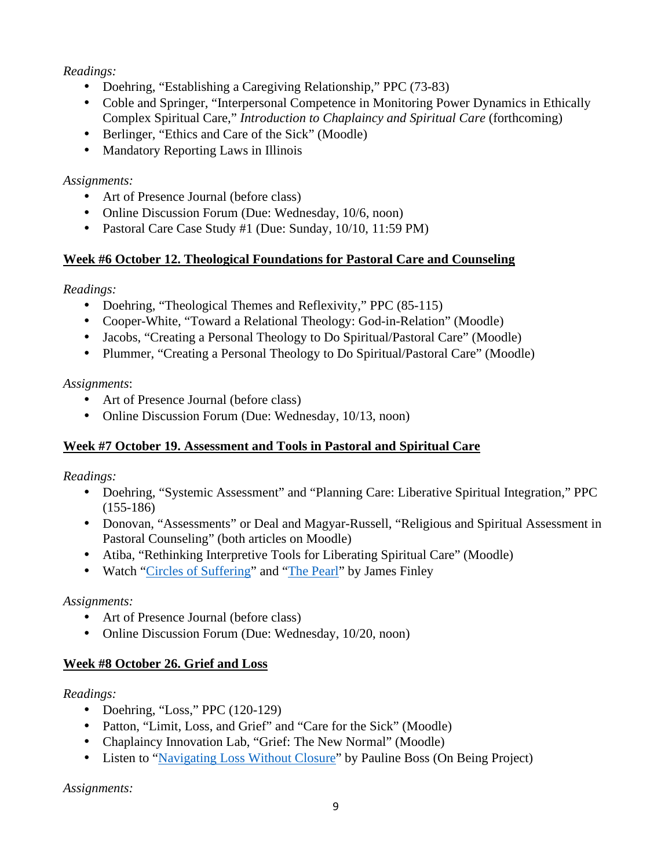### *Readings:*

- Doehring, "Establishing a Caregiving Relationship," PPC (73-83)
- Coble and Springer, "Interpersonal Competence in Monitoring Power Dynamics in Ethically Complex Spiritual Care," *Introduction to Chaplaincy and Spiritual Care* (forthcoming)
- Berlinger, "Ethics and Care of the Sick" (Moodle)
- Mandatory Reporting Laws in Illinois

### *Assignments:*

- Art of Presence Journal (before class)
- Online Discussion Forum (Due: Wednesday, 10/6, noon)
- Pastoral Care Case Study #1 (Due: Sunday, 10/10, 11:59 PM)

# **Week #6 October 12. Theological Foundations for Pastoral Care and Counseling**

*Readings:* 

- Doehring, "Theological Themes and Reflexivity," PPC (85-115)
- Cooper-White, "Toward a Relational Theology: God-in-Relation" (Moodle)
- Jacobs, "Creating a Personal Theology to Do Spiritual/Pastoral Care" (Moodle)
- Plummer, "Creating a Personal Theology to Do Spiritual/Pastoral Care" (Moodle)

# *Assignments*:

- Art of Presence Journal (before class)
- Online Discussion Forum (Due: Wednesday, 10/13, noon)

# **Week #7 October 19. Assessment and Tools in Pastoral and Spiritual Care**

*Readings:* 

- Doehring, "Systemic Assessment" and "Planning Care: Liberative Spiritual Integration," PPC  $(155-186)$
- Donovan, "Assessments" or Deal and Magyar-Russell, "Religious and Spiritual Assessment in Pastoral Counseling" (both articles on Moodle)
- Atiba, "Rethinking Interpretive Tools for Liberating Spiritual Care" (Moodle)
- Watch "Circles of Suffering" and "The Pearl" by James Finley

### *Assignments:*

- Art of Presence Journal (before class)
- Online Discussion Forum (Due: Wednesday, 10/20, noon)

# **Week #8 October 26. Grief and Loss**

# *Readings:*

- Doehring, "Loss," PPC  $(120-129)$
- Patton, "Limit, Loss, and Grief" and "Care for the Sick" (Moodle)
- Chaplaincy Innovation Lab, "Grief: The New Normal" (Moodle)
- Listen to "Navigating Loss Without Closure" by Pauline Boss (On Being Project)

*Assignments:*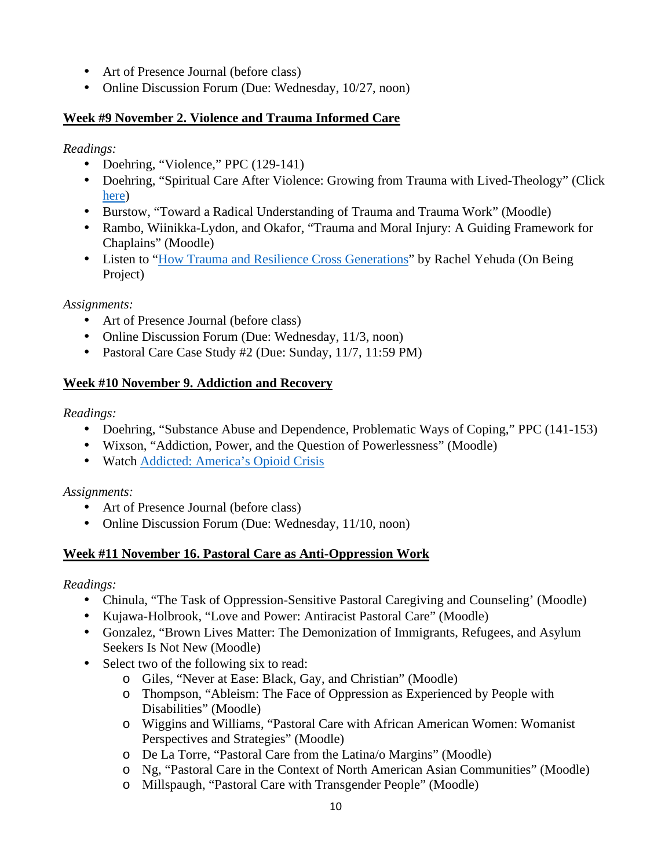- Art of Presence Journal (before class)
- Online Discussion Forum (Due: Wednesday, 10/27, noon)

### **Week #9 November 2. Violence and Trauma Informed Care**

### *Readings:*

- Doehring, "Violence," PPC (129-141)
- Doehring, "Spiritual Care After Violence: Growing from Trauma with Lived-Theology" (Click here)
- Burstow, "Toward a Radical Understanding of Trauma and Trauma Work" (Moodle)
- Rambo, Wiinikka-Lydon, and Okafor, "Trauma and Moral Injury: A Guiding Framework for Chaplains" (Moodle)
- Listen to "How Trauma and Resilience Cross Generations" by Rachel Yehuda (On Being Project)

### *Assignments:*

- Art of Presence Journal (before class)
- Online Discussion Forum (Due: Wednesday, 11/3, noon)
- Pastoral Care Case Study #2 (Due: Sunday, 11/7, 11:59 PM)

# **Week #10 November 9. Addiction and Recovery**

# *Readings:*

- Doehring, "Substance Abuse and Dependence, Problematic Ways of Coping," PPC (141-153)
- Wixson, "Addiction, Power, and the Question of Powerlessness" (Moodle)
- Watch Addicted: America's Opioid Crisis

### *Assignments:*

- Art of Presence Journal (before class)
- Online Discussion Forum (Due: Wednesday, 11/10, noon)

# **Week #11 November 16. Pastoral Care as Anti-Oppression Work**

### *Readings:*

- Chinula, "The Task of Oppression-Sensitive Pastoral Caregiving and Counseling' (Moodle)
- Kujawa-Holbrook, "Love and Power: Antiracist Pastoral Care" (Moodle)
- Gonzalez, "Brown Lives Matter: The Demonization of Immigrants, Refugees, and Asylum Seekers Is Not New (Moodle)
- Select two of the following six to read:
	- o Giles, "Never at Ease: Black, Gay, and Christian" (Moodle)
	- o Thompson, "Ableism: The Face of Oppression as Experienced by People with Disabilities" (Moodle)
	- o Wiggins and Williams, "Pastoral Care with African American Women: Womanist Perspectives and Strategies" (Moodle)
	- o De La Torre, "Pastoral Care from the Latina/o Margins" (Moodle)
	- o Ng, "Pastoral Care in the Context of North American Asian Communities" (Moodle)
	- o Millspaugh, "Pastoral Care with Transgender People" (Moodle)